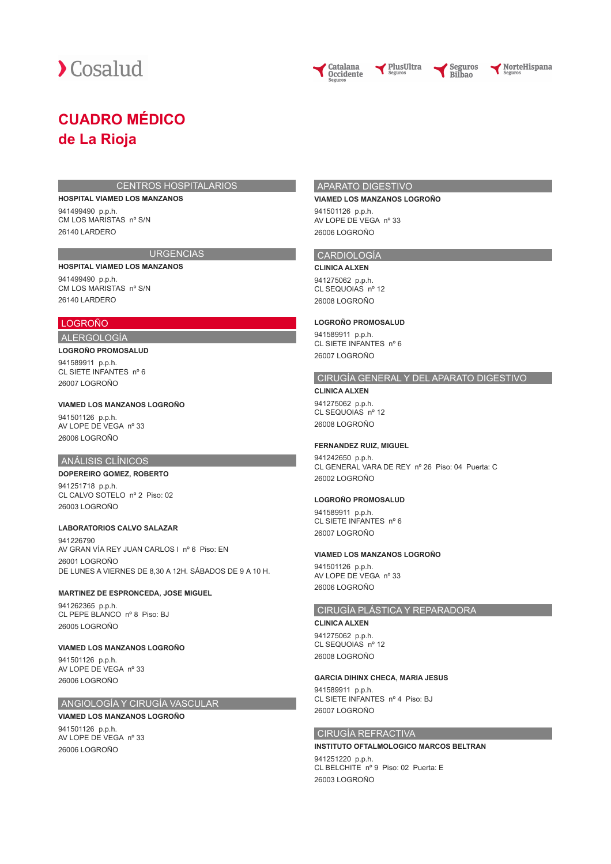



PlusUltra

NorteHispana

# **CUADRO MÉDICO de La Rioja**

#### CENTROS HOSPITALARIOS

#### **HOSPITAL VIAMED LOS MANZANOS**

**HOSPITAL VIAMED LOS MANZANOS**

941499490 p.p.h. CM LOS MARISTAS nº S/N 26140 LARDERO

# **URGENCIAS**

941499490 p.p.h. CM LOS MARISTAS nº S/N 26140 LARDERO

# LOGROÑO ALERGOLOGÍA

# **LOGROÑO PROMOSALUD**

941589911 p.p.h. CL SIETE INFANTES nº 6 26007 LOGROÑO

#### **VIAMED LOS MANZANOS LOGROÑO**

941501126 p.p.h. AV LOPE DE VEGA nº 33 26006 LOGROÑO

## ANÁLISIS CLÍNICOS

#### **DOPEREIRO GOMEZ, ROBERTO**

941251718 p.p.h. CL CALVO SOTELO nº 2 Piso: 02 26003 LOGROÑO

## **LABORATORIOS CALVO SALAZAR**

941226790 AV GRAN VÍA REY JUAN CARLOS I nº 6 Piso: EN 26001 LOGROÑO DE LUNES A VIERNES DE 8,30 A 12H. SÁBADOS DE 9 A 10 H.

## **MARTINEZ DE ESPRONCEDA, JOSE MIGUEL**

941262365 p.p.h. CL PEPE BLANCO nº 8 Piso: BJ 26005 LOGROÑO

#### **VIAMED LOS MANZANOS LOGROÑO**

941501126 p.p.h. AV LOPE DE VEGA nº 33 26006 LOGROÑO

# ANGIOLOGÍA Y CIRUGÍA VASCULAR

**VIAMED LOS MANZANOS LOGROÑO** 941501126 p.p.h. AV LOPE DE VEGA nº 33 26006 LOGROÑO

# APARATO DIGESTIVO

#### **VIAMED LOS MANZANOS LOGROÑO**

941501126 p.p.h. AV LOPE DE VEGA nº 33 26006 LOGROÑO

#### CARDIOLOGÍA

**CLINICA ALXEN** 941275062 p.p.h. CL SEQUOIAS nº 12 26008 LOGROÑO

#### **LOGROÑO PROMOSALUD**

941589911 p.p.h. CL SIETE INFANTES nº 6 26007 LOGROÑO

# CIRUGÍA GENERAL Y DEL APARATO DIGESTIVO

**CLINICA ALXEN** 941275062 p.p.h. CL SEQUOIAS nº 12 26008 LOGROÑO

#### **FERNANDEZ RUIZ, MIGUEL**

941242650 p.p.h. CL GENERAL VARA DE REY nº 26 Piso: 04 Puerta: C 26002 LOGROÑO

#### **LOGROÑO PROMOSALUD**

941589911 p.p.h. CL SIETE INFANTES nº 6 26007 LOGROÑO

## **VIAMED LOS MANZANOS LOGROÑO**

941501126 p.p.h. AV LOPE DE VEGA nº 33 26006 LOGROÑO

## CIRUGÍA PLÁSTICA Y REPARADORA

**CLINICA ALXEN** 941275062 p.p.h. CL SEQUOIAS nº 12 26008 LOGROÑO

#### **GARCIA DIHINX CHECA, MARIA JESUS**

941589911 p.p.h. CL SIETE INFANTES nº 4 Piso: BJ 26007 LOGROÑO

## CIRUGÍA REFRACTIVA

# **INSTITUTO OFTALMOLOGICO MARCOS BELTRAN**

941251220 p.p.h. CL BELCHITE nº 9 Piso: 02 Puerta: E 26003 LOGROÑO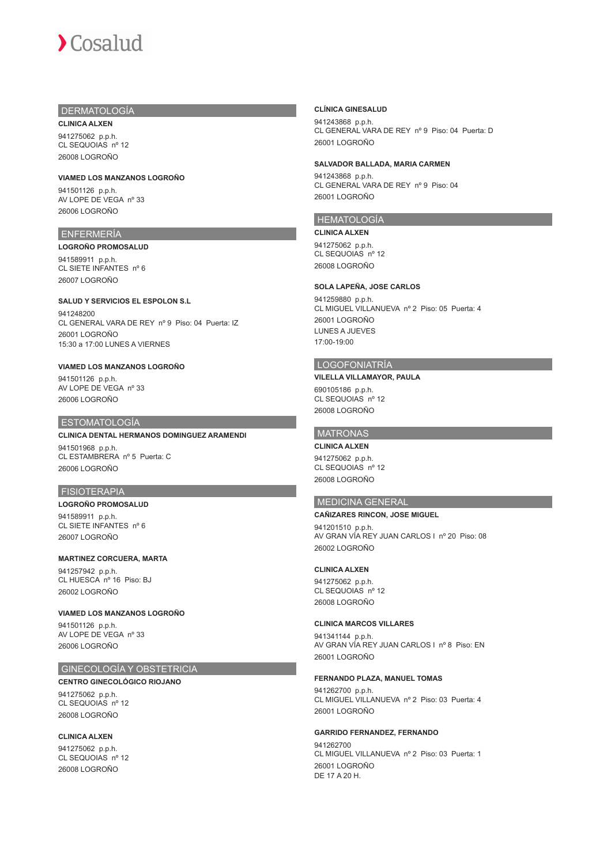# DERMATOLOGÍA

**CLINICA ALXEN** 941275062 p.p.h. CL SEQUOIAS nº 12 26008 LOGROÑO

#### **VIAMED LOS MANZANOS LOGROÑO**

941501126 p.p.h. AV LOPE DE VEGA nº 33 26006 LOGROÑO

# ENFERMERÍA

**LOGROÑO PROMOSALUD** 941589911 p.p.h. CL SIETE INFANTES nº 6 26007 LOGROÑO

#### **SALUD Y SERVICIOS EL ESPOLON S.L**

941248200 CL GENERAL VARA DE REY nº 9 Piso: 04 Puerta: IZ 26001 LOGROÑO 15:30 a 17:00 LUNES A VIERNES

# **VIAMED LOS MANZANOS LOGROÑO**

941501126 p.p.h. AV LOPE DE VEGA nº 33 26006 LOGROÑO

#### ESTOMATOLOGÍA

# **CLINICA DENTAL HERMANOS DOMINGUEZ ARAMENDI**

941501968 p.p.h. CL ESTAMBRERA nº 5 Puerta: C 26006 LOGROÑO

#### FISIOTERAPIA

# **LOGROÑO PROMOSALUD** 941589911 p.p.h.

CL SIETE INFANTES nº 6 26007 LOGROÑO

# **MARTINEZ CORCUERA, MARTA**

941257942 p.p.h. CL HUESCA nº 16 Piso: BJ 26002 LOGROÑO

#### **VIAMED LOS MANZANOS LOGROÑO**

941501126 p.p.h. AV LOPE DE VEGA nº 33 26006 LOGROÑO

# GINECOLOGÍA Y OBSTETRICIA

# **CENTRO GINECOLÓGICO RIOJANO**

941275062 p.p.h. CL SEQUOIAS nº 12 26008 LOGROÑO

## **CLINICA ALXEN**

941275062 p.p.h. CL SEQUOIAS nº 12 26008 LOGROÑO

#### **CLÍNICA GINESALUD**

941243868 p.p.h. CL GENERAL VARA DE REY nº 9 Piso: 04 Puerta: D 26001 LOGROÑO

#### **SALVADOR BALLADA, MARIA CARMEN**

941243868 p.p.h. CL GENERAL VARA DE REY nº 9 Piso: 04 26001 LOGROÑO

# HEMATOLOGÍA

**CLINICA ALXEN** 941275062 p.p.h. CL SEQUOIAS nº 12 26008 LOGROÑO

# **SOLA LAPEÑA, JOSE CARLOS**

941259880 p.p.h. CL MIGUEL VILLANUEVA nº 2 Piso: 05 Puerta: 4 26001 LOGROÑO LUNES A JUEVES 17:00-19:00

# LOGOFONIATRÍA

## **VILELLA VILLAMAYOR, PAULA** 690105186 p.p.h. CL SEQUOIAS nº 12 26008 LOGROÑO

# MATRONAS

**CLINICA ALXEN** 941275062 p.p.h. CL SEQUOIAS nº 12 26008 LOGROÑO

# MEDICINA GENERAL

## **CAÑIZARES RINCON, JOSE MIGUEL**

941201510 p.p.h. AV GRAN VÍA REY JUAN CARLOS I nº 20 Piso: 08 26002 LOGROÑO

#### **CLINICA ALXEN**

941275062 p.p.h. CL SEQUOIAS nº 12 26008 LOGROÑO

#### **CLINICA MARCOS VILLARES**

941341144 p.p.h. AV GRAN VÍA REY JUAN CARLOS I nº 8 Piso: EN 26001 LOGROÑO

#### **FERNANDO PLAZA, MANUEL TOMAS**

941262700 p.p.h. CL MIGUEL VILLANUEVA nº 2 Piso: 03 Puerta: 4 26001 LOGROÑO

#### **GARRIDO FERNANDEZ, FERNANDO**

941262700 CL MIGUEL VILLANUEVA nº 2 Piso: 03 Puerta: 1 26001 LOGROÑO DE 17 A 20 H.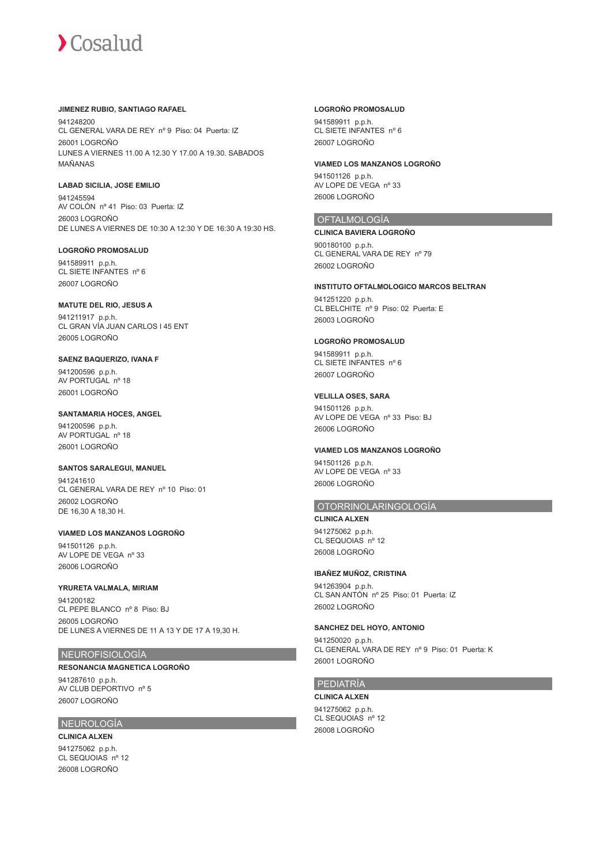## **JIMENEZ RUBIO, SANTIAGO RAFAEL**

941248200 CL GENERAL VARA DE REY nº 9 Piso: 04 Puerta: IZ 26001 LOGROÑO LUNES A VIERNES 11.00 A 12.30 Y 17.00 A 19.30. SABADOS MAÑANAS

## **LABAD SICILIA, JOSE EMILIO**

941245594 AV COLÓN nº 41 Piso: 03 Puerta: IZ 26003 LOGROÑO DE LUNES A VIERNES DE 10:30 A 12:30 Y DE 16:30 A 19:30 HS.

# **LOGROÑO PROMOSALUD**

941589911 p.p.h. CL SIETE INFANTES nº 6 26007 LOGROÑO

## **MATUTE DEL RIO, JESUS A**

941211917 p.p.h. CL GRAN VÍA JUAN CARLOS I 45 ENT 26005 LOGROÑO

# **SAENZ BAQUERIZO, IVANA F**

941200596 p.p.h. AV PORTUGAL nº 18 26001 LOGROÑO

## **SANTAMARIA HOCES, ANGEL**

941200596 p.p.h. AV PORTUGAL nº 18 26001 LOGROÑO

# **SANTOS SARALEGUI, MANUEL**

941241610 CL GENERAL VARA DE REY nº 10 Piso: 01 26002 LOGROÑO DE 16,30 A 18,30 H.

## **VIAMED LOS MANZANOS LOGROÑO** 941501126 p.p.h. AV LOPE DE VEGA nº 33 26006 LOGROÑO

# **YRURETA VALMALA, MIRIAM**

941200182 CL PEPE BLANCO nº 8 Piso: BJ 26005 LOGROÑO DE LUNES A VIERNES DE 11 A 13 Y DE 17 A 19,30 H.

# NEUROFISIOLOGÍA

# **RESONANCIA MAGNETICA LOGROÑO**

941287610 p.p.h. AV CLUB DEPORTIVO nº 5 26007 LOGROÑO

# NEUROLOGÍA

**CLINICA ALXEN** 941275062 p.p.h. CL SEQUOIAS nº 12 26008 LOGROÑO

## **LOGROÑO PROMOSALUD**

941589911 p.p.h. CL SIETE INFANTES nº 6 26007 LOGROÑO

## **VIAMED LOS MANZANOS LOGROÑO**

941501126 p.p.h. AV LOPE DE VEGA nº 33 26006 LOGROÑO

# **OFTALMOLOGÍA**

**CLINICA BAVIERA LOGROÑO** 900180100 p.p.h. CL GENERAL VARA DE REY nº 79 26002 LOGROÑO

## **INSTITUTO OFTALMOLOGICO MARCOS BELTRAN** 941251220 p.p.h. CL BELCHITE nº 9 Piso: 02 Puerta: E 26003 LOGROÑO

## **LOGROÑO PROMOSALUD**

941589911 p.p.h. CL SIETE INFANTES nº 6 26007 LOGROÑO

## **VELILLA OSES, SARA**

941501126 p.p.h. AV LOPE DE VEGA nº 33 Piso: BJ 26006 LOGROÑO

# **VIAMED LOS MANZANOS LOGROÑO**

941501126 p.p.h. AV LOPE DE VEGA nº 33 26006 LOGROÑO

# OTORRINOLARINGOLOGÍA

**CLINICA ALXEN** 941275062 p.p.h. CL SEQUOIAS nº 12 26008 LOGROÑO

# **IBAÑEZ MUÑOZ, CRISTINA**

941263904 p.p.h. CL SAN ANTÓN nº 25 Piso: 01 Puerta: IZ 26002 LOGROÑO

# **SANCHEZ DEL HOYO, ANTONIO**

941250020 p.p.h. CL GENERAL VARA DE REY nº 9 Piso: 01 Puerta: K 26001 LOGROÑO

# PEDIATRÍA

**CLINICA ALXEN** 941275062 p.p.h. CL SEQUOIAS nº 12 26008 LOGROÑO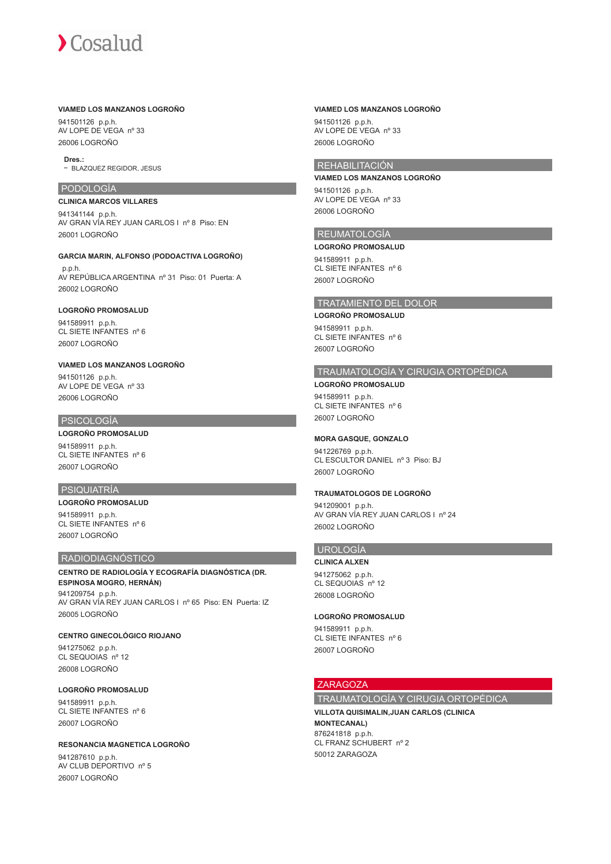#### **VIAMED LOS MANZANOS LOGROÑO**

941501126 p.p.h. AV LOPE DE VEGA nº 33 26006 LOGROÑO

**Dres.:**

- BLAZQUEZ REGIDOR, JESUS

## PODOLOGÍA

#### **CLINICA MARCOS VILLARES**

941341144 p.p.h. AV GRAN VÍA REY JUAN CARLOS I nº 8 Piso: EN 26001 LOGROÑO

#### **GARCIA MARIN, ALFONSO (PODOACTIVA LOGROÑO)**

 p.p.h. AV REPÚBLICA ARGENTINA nº 31 Piso: 01 Puerta: A 26002 LOGROÑO

# **LOGROÑO PROMOSALUD**

941589911 p.p.h. CL SIETE INFANTES nº 6 26007 LOGROÑO

# **VIAMED LOS MANZANOS LOGROÑO**

941501126 p.p.h. AV LOPE DE VEGA nº 33 26006 LOGROÑO

#### PSICOLOGÍA

## **LOGROÑO PROMOSALUD**

941589911 p.p.h. CL SIETE INFANTES nº 6 26007 LOGROÑO

#### PSIQUIATRÍA

**LOGROÑO PROMOSALUD** 941589911 p.p.h. CL SIETE INFANTES nº 6 26007 LOGROÑO

#### RADIODIAGNÓSTICO

#### **CENTRO DE RADIOLOGÍA Y ECOGRAFÍA DIAGNÓSTICA (DR. ESPINOSA MOGRO, HERNÁN)**

941209754 p.p.h. AV GRAN VÍA REY JUAN CARLOS I nº 65 Piso: EN Puerta: IZ 26005 LOGROÑO

#### **CENTRO GINECOLÓGICO RIOJANO**

941275062 p.p.h. CL SEQUOIAS nº 12 26008 LOGROÑO

## **LOGROÑO PROMOSALUD**

941589911 p.p.h. CL SIETE INFANTES nº 6 26007 LOGROÑO

#### **RESONANCIA MAGNETICA LOGROÑO**

941287610 p.p.h. AV CLUB DEPORTIVO nº 5 26007 LOGROÑO

# **VIAMED LOS MANZANOS LOGROÑO**

941501126 p.p.h. AV LOPE DE VEGA nº 33 26006 LOGROÑO

# REHABILITACIÓN

**VIAMED LOS MANZANOS LOGROÑO** 941501126 p.p.h. AV LOPE DE VEGA nº 33 26006 LOGROÑO

## REUMATOLOGÍA

**LOGROÑO PROMOSALUD** 941589911 p.p.h. CL SIETE INFANTES nº 6 26007 LOGROÑO

## TRATAMIENTO DEL DOLOR

#### **LOGROÑO PROMOSALUD**

941589911 p.p.h. CL SIETE INFANTES nº 6 26007 LOGROÑO

#### TRAUMATOLOGÍA Y CIRUGIA ORTOPÉDICA **LOGROÑO PROMOSALUD**

941589911 p.p.h. CL SIETE INFANTES nº 6 26007 LOGROÑO

#### **MORA GASQUE, GONZALO**

941226769 p.p.h. CL ESCULTOR DANIEL nº 3 Piso: BJ 26007 LOGROÑO

# **TRAUMATOLOGOS DE LOGROÑO**

941209001 p.p.h. AV GRAN VÍA REY JUAN CARLOS I nº 24 26002 LOGROÑO

#### UROLOGÍA

## **CLINICA ALXEN**

941275062 p.p.h. CL SEQUOIAS nº 12 26008 LOGROÑO

#### **LOGROÑO PROMOSALUD**

941589911 p.p.h. CL SIETE INFANTES nº 6 26007 LOGROÑO

# ZARAGOZA

# TRAUMATOLOGÍA Y CIRUGIA ORTOPÉDICA

**VILLOTA QUISIMALIN,JUAN CARLOS (CLINICA MONTECANAL)** 876241818 p.p.h. CL FRANZ SCHUBERT nº 2 50012 ZARAGOZA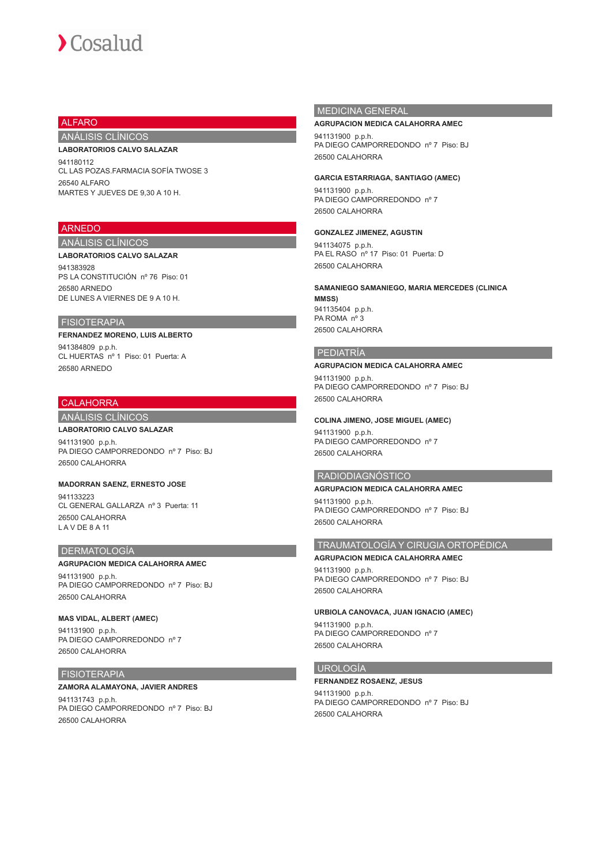# ALFARO

# ANÁLISIS CLÍNICOS

#### **LABORATORIOS CALVO SALAZAR**

941180112 CL LAS POZAS.FARMACIA SOFÍA TWOSE 3 26540 ALFARO MARTES Y JUEVES DE 9,30 A 10 H.

## ARNEDO

# ANÁLISIS CLÍNICOS

# **LABORATORIOS CALVO SALAZAR**

941383928 PS LA CONSTITUCIÓN nº 76 Piso: 01 26580 ARNEDO DE LUNES A VIERNES DE 9 A 10 H.

# FISIOTERAPIA

#### **FERNANDEZ MORENO, LUIS ALBERTO**

941384809 p.p.h. CL HUERTAS nº 1 Piso: 01 Puerta: A 26580 ARNEDO

# **CALAHORRA**

# ANÁLISIS CLÍNICOS

**LABORATORIO CALVO SALAZAR** 941131900 p.p.h. PA DIEGO CAMPORREDONDO nº 7 Piso: BJ 26500 CALAHORRA

#### **MADORRAN SAENZ, ERNESTO JOSE**

941133223 CL GENERAL GALLARZA nº 3 Puerta: 11 26500 CALAHORRA L A V DE 8 A 11

#### DERMATOLOGÍA

#### **AGRUPACION MEDICA CALAHORRA AMEC**

941131900 p.p.h. PA DIEGO CAMPORREDONDO nº 7 Piso: BJ 26500 CALAHORRA

#### **MAS VIDAL, ALBERT (AMEC)**

941131900 p.p.h. PA DIEGO CAMPORREDONDO nº 7 26500 CALAHORRA

#### FISIOTERAPIA

#### **ZAMORA ALAMAYONA, JAVIER ANDRES** 941131743 p.p.h. PA DIEGO CAMPORREDONDO nº 7 Piso: BJ 26500 CALAHORRA

# MEDICINA GENERAL

#### **AGRUPACION MEDICA CALAHORRA AMEC**

941131900 p.p.h. PA DIEGO CAMPORREDONDO nº 7 Piso: BJ 26500 CALAHORRA

**GARCIA ESTARRIAGA, SANTIAGO (AMEC)**

941131900 p.p.h. PA DIEGO CAMPORREDONDO nº 7 26500 CALAHORRA

#### **GONZALEZ JIMENEZ, AGUSTIN**

941134075 p.p.h. PA EL RASO nº 17 Piso: 01 Puerta: D 26500 CALAHORRA

# **SAMANIEGO SAMANIEGO, MARIA MERCEDES (CLINICA**

**MMSS)** 941135404 p.p.h. PA ROMA nº 3 26500 CALAHORRA

## PEDIATRÍA

## **AGRUPACION MEDICA CALAHORRA AMEC**

941131900 p.p.h. PA DIEGO CAMPORREDONDO nº 7 Piso: BJ 26500 CALAHORRA

#### **COLINA JIMENO, JOSE MIGUEL (AMEC)**

941131900 p.p.h. PA DIEGO CAMPORREDONDO nº 7 26500 CALAHORRA

# RADIODIAGNÓSTICO

# **AGRUPACION MEDICA CALAHORRA AMEC**

941131900 p.p.h. PA DIEGO CAMPORREDONDO nº 7 Piso: BJ 26500 CALAHORRA

# TRAUMATOLOGÍA Y CIRUGIA ORTOPÉDICA

**AGRUPACION MEDICA CALAHORRA AMEC** 941131900 p.p.h. PA DIEGO CAMPORREDONDO nº 7 Piso: BJ 26500 CALAHORRA

## **URBIOLA CANOVACA, JUAN IGNACIO (AMEC)**

941131900 p.p.h. PA DIEGO CAMPORREDONDO nº 7 26500 CALAHORRA

# UROLOGÍA

#### **FERNANDEZ ROSAENZ, JESUS**

941131900 p.p.h. PA DIEGO CAMPORREDONDO nº 7 Piso: BJ 26500 CALAHORRA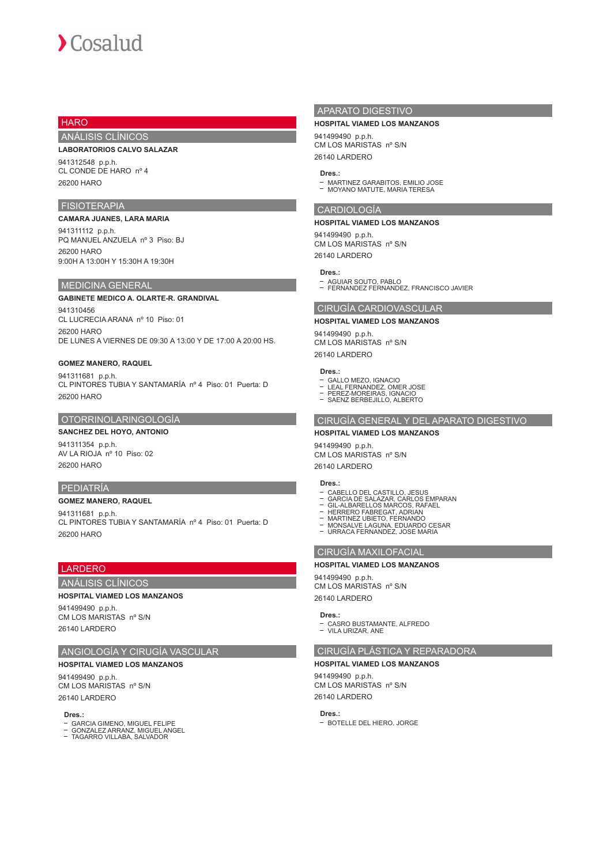# **HARO**

# ANÁLISIS CLÍNICOS

#### **LABORATORIOS CALVO SALAZAR**

941312548 p.p.h. CL CONDE DE HARO nº 4 26200 HARO

## FISIOTERAPIA

# **CAMARA JUANES, LARA MARIA**

941311112 p.p.h. PQ MANUEL ANZUELA nº 3 Piso: BJ 26200 HARO 9:00H A 13:00H Y 15:30H A 19:30H

## MEDICINA GENERAL

## **GABINETE MEDICO A. OLARTE-R. GRANDIVAL** 941310456 CL LUCRECIA ARANA nº 10 Piso: 01

26200 HARO DE LUNES A VIERNES DE 09:30 A 13:00 Y DE 17:00 A 20:00 HS.

#### **GOMEZ MANERO, RAQUEL**

941311681 p.p.h. CL PINTORES TUBIA Y SANTAMARÍA nº 4 Piso: 01 Puerta: D 26200 HARO

#### OTORRINOLARINGOLOGÍA

# **SANCHEZ DEL HOYO, ANTONIO**

941311354 p.p.h. AV LA RIOJA nº 10 Piso: 02 26200 HARO

## PEDIATRÍA

#### **GOMEZ MANERO, RAQUEL**

941311681 p.p.h. CL PINTORES TUBIA Y SANTAMARÍA nº 4 Piso: 01 Puerta: D 26200 HARO

# LARDERO

ANÁLISIS CLÍNICOS

#### **HOSPITAL VIAMED LOS MANZANOS**

941499490 p.p.h. CM LOS MARISTAS nº S/N 26140 LARDERO

# ANGIOLOGÍA Y CIRUGÍA VASCULAR

#### **HOSPITAL VIAMED LOS MANZANOS**

941499490 p.p.h. CM LOS MARISTAS nº S/N 26140 LARDERO

#### **Dres.:**

- GARCIA GIMENO, MIGUEL FELIPE GONZALEZ ARRANZ, MIGUEL ANGEL TAGARRO VILLABA, SALVADOR
- 

## APARATO DIGESTIVO

#### **HOSPITAL VIAMED LOS MANZANOS**

941499490 p.p.h. CM LOS MARISTAS nº S/N 26140 LARDERO

#### **Dres.:**

MARTINEZ GARABITOS, EMILIO JOSE MOYANO MATUTE, MARIA TERESA

#### CARDIOLOGÍA

#### **HOSPITAL VIAMED LOS MANZANOS**

941499490 p.p.h. CM LOS MARISTAS nº S/N 26140 LARDERO

## **Dres.:**

AGUIAR SOUTO, PABLO FERNANDEZ FERNANDEZ, FRANCISCO JAVIER

# CIRUGÍA CARDIOVASCULAR

**HOSPITAL VIAMED LOS MANZANOS**

# 941499490 p.p.h.

CM LOS MARISTAS nº S/N 26140 LARDERO

#### **Dres.:**

- GALLO MEZO, IGNACIO LEAL FERNANDEZ, OMER JOSE
- 
- PEREZ-MOREIRAS, IGNACIO SAENZ BERBEJILLO, ALBERTO

# CIRUGÍA GENERAL Y DEL APARATO DIGESTIVO

#### **HOSPITAL VIAMED LOS MANZANOS**

941499490 p.p.h. CM LOS MARISTAS nº S/N

#### **Dres.:**

26140 LARDERO

- CABELLO DEL CASTILLO, JESUS
- GARCIA DE SALAZAR, CARLOS EMPARAN GIL-ALBARELLOS MARCOS, RAFAEL
- 
- 
- HERRERO FABREGAT. ADRIAN<br>MARTINEZ UBIETO, FERNANDO<br>MONSALVE LAGUNA. EDUARDO CESAR<br>URRACA FERNANDEZ, JOSE MARIA

# CIRUGÍA MAXILOFACIAL

#### **HOSPITAL VIAMED LOS MANZANOS**

941499490 p.p.h. CM LOS MARISTAS nº S/N 26140 LARDERO

#### **Dres.:**

- CASRO BUSTAMANTE, ALEREDO - VILA URIZAR, ANE

# CIRUGÍA PLÁSTICA Y REPARADORA

# **HOSPITAL VIAMED LOS MANZANOS**

941499490 p.p.h. CM LOS MARISTAS nº S/N 26140 LARDERO

#### **Dres.:**

- BOTELLE DEL HIERO, JORGE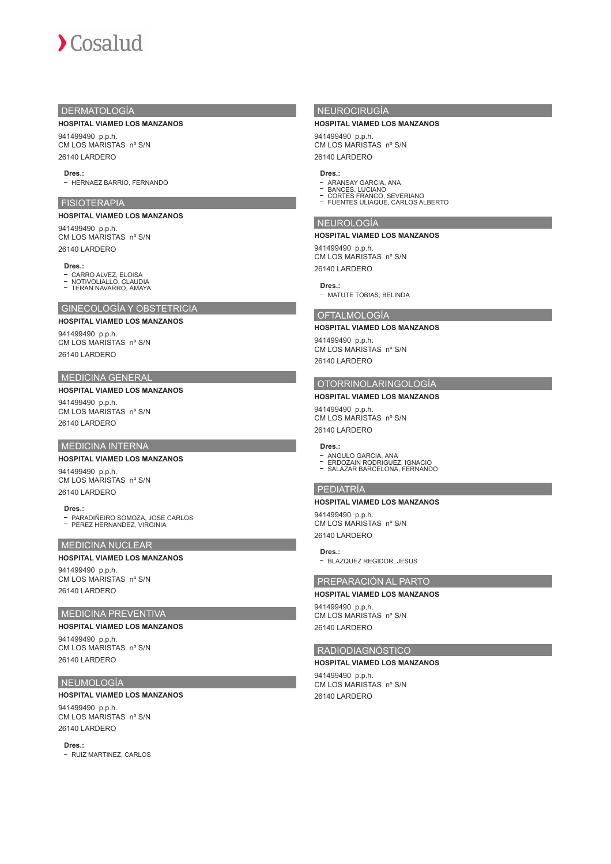# $\sum$  Cosalud

# DERMATOLOGÍA

#### **HOSPITAL VIAMED LOS MANZANOS**

941499490 p.p.h. CM LOS MARISTAS nº S/N 26140 LARDERO

#### **Dres.:**

- HERNAEZ BARRIO, FERNANDO

#### FISIOTERAPIA

#### **HOSPITAL VIAMED LOS MANZANOS**

941499490 p.p.h. CM LOS MARISTAS nº S/N 26140 LARDERO

#### **Dres.:**

CARRO ALVEZ, ELOISA NOTIVOLIALLO, CLAUDIA TERAN NAVARRO, AMAYA

# GINECOLOGÍA Y OBSTETRICIA

# **HOSPITAL VIAMED LOS MANZANOS**

941499490 p.p.h. CM LOS MARISTAS nº S/N 26140 LARDERO

# MEDICINA GENERAL

**HOSPITAL VIAMED LOS MANZANOS** 941499490 p.p.h. CM LOS MARISTAS nº S/N 26140 LARDERO

# MEDICINA INTERNA

#### **HOSPITAL VIAMED LOS MANZANOS**

941499490 p.p.h. CM LOS MARISTAS nº S/N 26140 LARDERO

**Dres.:** PARADIÑEIRO SOMOZA, JOSE CARLOS PEREZ HERNANDEZ, VIRGINIA

#### MEDICINA NUCLEAR

## **HOSPITAL VIAMED LOS MANZANOS**

941499490 p.p.h. CM LOS MARISTAS nº S/N 26140 LARDERO

# MEDICINA PREVENTIVA

# **HOSPITAL VIAMED LOS MANZANOS**

941499490 p.p.h. CM LOS MARISTAS nº S/N 26140 LARDERO

#### NEUMOLOGÍA

## **HOSPITAL VIAMED LOS MANZANOS**

941499490 p.p.h. CM LOS MARISTAS nº S/N 26140 LARDERO

**Dres.:**

- RUIZ MARTINEZ, CARLOS

# NEUROCIRUGÍA

#### **HOSPITAL VIAMED LOS MANZANOS**

941499490 p.p.h. CM LOS MARISTAS nº S/N 26140 LARDERO

#### **Dres.:**

- 
- ARANSAY GARCIA, ANA<br>BANCES, LUCIANO<br>CORTES FRANCO, SEVERIANO<br>FUENTES ULIAQUE, CARLOS ALBERTO
- 

## NEUROLOGÍA

#### **HOSPITAL VIAMED LOS MANZANOS**

941499490 p.p.h. CM LOS MARISTAS nº S/N 26140 LARDERO

## **Dres.:**

- MATUTE TOBIAS, BELINDA

## OFTALMOLOGÍA

#### **HOSPITAL VIAMED LOS MANZANOS**

941499490 p.p.h. CM LOS MARISTAS nº S/N 26140 LARDERO

#### OTORRINOLARINGOLOGÍA

**HOSPITAL VIAMED LOS MANZANOS** 941499490 p.p.h. CM LOS MARISTAS nº S/N 26140 LARDERO

## **Dres.:**

- ANGULO GARCIA, ANA ERDOZAIN RODRIGUEZ, IGNACIO
- SALAZAR BARCELONA, FERNANDO

# PEDIATRÍA

**HOSPITAL VIAMED LOS MANZANOS** 941499490 p.p.h. CM LOS MARISTAS nº S/N 26140 LARDERO

**Dres.:**

BLAZQUEZ REGIDOR, JESUS

# PREPARACIÓN AL PARTO

## **HOSPITAL VIAMED LOS MANZANOS**

941499490 p.p.h. CM LOS MARISTAS nº S/N 26140 LARDERO

# RADIODIAGNÓSTICO

#### **HOSPITAL VIAMED LOS MANZANOS**

941499490 p.p.h. CM LOS MARISTAS nº S/N 26140 LARDERO